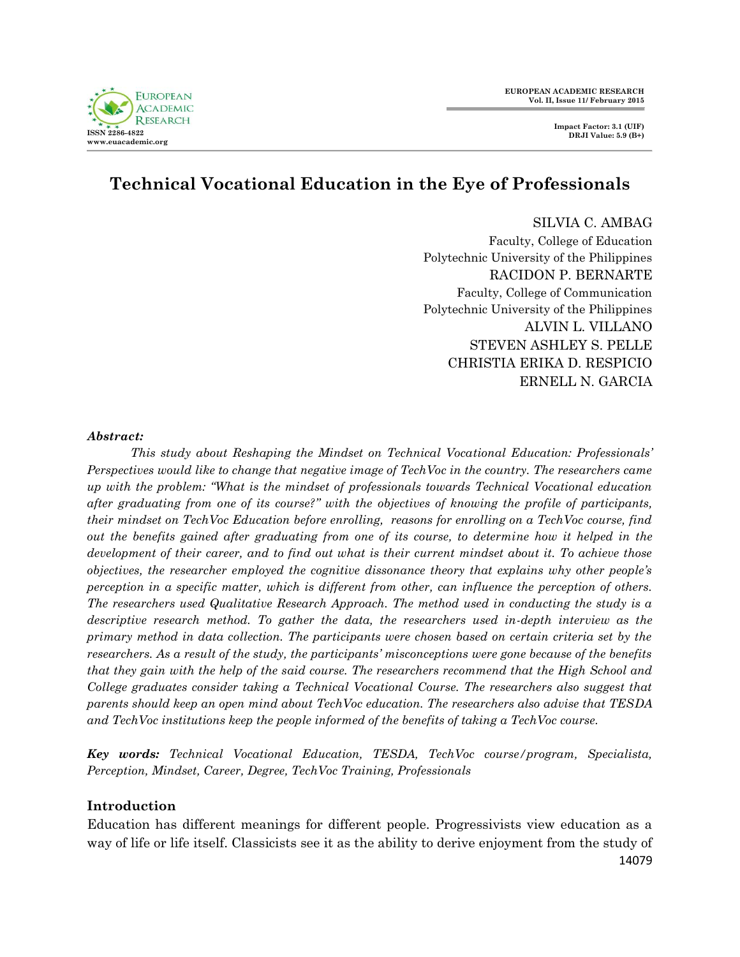

# **Technical Vocational Education in the Eye of Professionals**

SILVIA C. AMBAG Faculty, College of Education Polytechnic University of the Philippines RACIDON P. BERNARTE Faculty, College of Communication Polytechnic University of the Philippines ALVIN L. VILLANO STEVEN ASHLEY S. PELLE CHRISTIA ERIKA D. RESPICIO ERNELL N. GARCIA

#### *Abstract:*

*This study about Reshaping the Mindset on Technical Vocational Education: Professionals' Perspectives would like to change that negative image of TechVoc in the country. The researchers came up with the problem: "What is the mindset of professionals towards Technical Vocational education after graduating from one of its course?" with the objectives of knowing the profile of participants, their mindset on TechVoc Education before enrolling, reasons for enrolling on a TechVoc course, find out the benefits gained after graduating from one of its course, to determine how it helped in the development of their career, and to find out what is their current mindset about it. To achieve those objectives, the researcher employed the cognitive dissonance theory that explains why other people's perception in a specific matter, which is different from other, can influence the perception of others. The researchers used Qualitative Research Approach. The method used in conducting the study is a*  descriptive research method. To gather the data, the researchers used in-depth interview as the *primary method in data collection. The participants were chosen based on certain criteria set by the researchers. As a result of the study, the participants' misconceptions were gone because of the benefits that they gain with the help of the said course. The researchers recommend that the High School and College graduates consider taking a Technical Vocational Course. The researchers also suggest that parents should keep an open mind about TechVoc education. The researchers also advise that TESDA and TechVoc institutions keep the people informed of the benefits of taking a TechVoc course.*

*Key words: Technical Vocational Education, TESDA, TechVoc course/program, Specialista, Perception, Mindset, Career, Degree, TechVoc Training, Professionals*

#### **Introduction**

14079 Education has different meanings for different people. Progressivists view education as a way of life or life itself. Classicists see it as the ability to derive enjoyment from the study of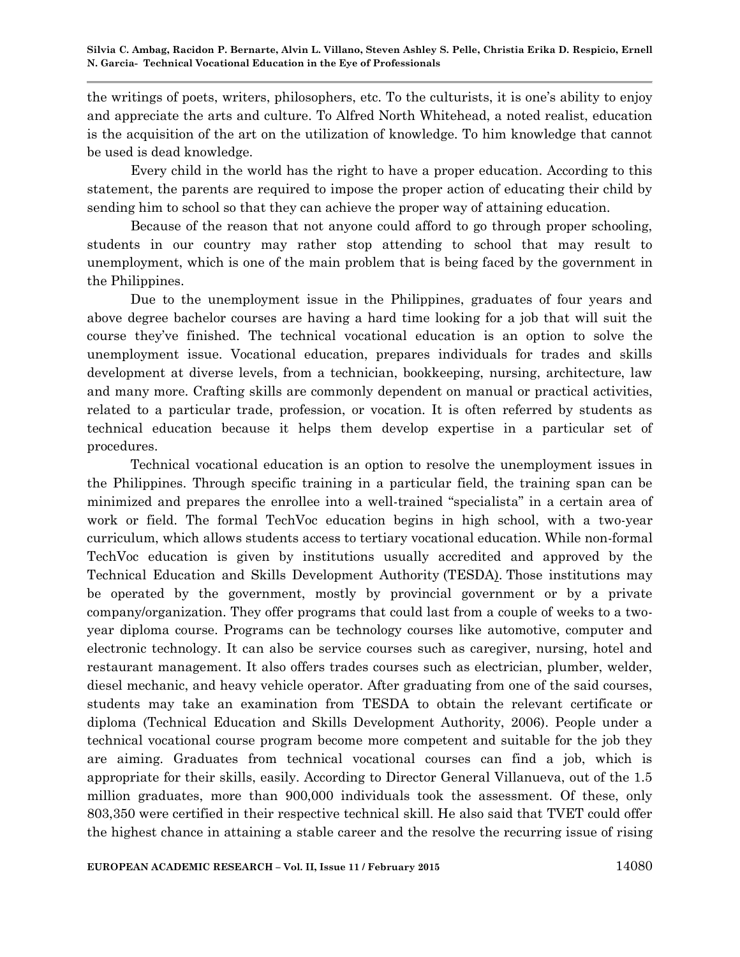the writings of poets, writers, philosophers, etc. To the culturists, it is one"s ability to enjoy and appreciate the arts and culture. To Alfred North Whitehead, a noted realist, education is the acquisition of the art on the utilization of knowledge. To him knowledge that cannot be used is dead knowledge.

Every child in the world has the right to have a proper education. According to this statement, the parents are required to impose the proper action of educating their child by sending him to school so that they can achieve the proper way of attaining education.

Because of the reason that not anyone could afford to go through proper schooling, students in our country may rather stop attending to school that may result to unemployment, which is one of the main problem that is being faced by the government in the Philippines.

Due to the unemployment issue in the Philippines, graduates of four years and above degree bachelor courses are having a hard time looking for a job that will suit the course they"ve finished. The technical vocational education is an option to solve the unemployment issue. Vocational education, prepares individuals for trades and skills development at diverse levels, from a technician, bookkeeping, nursing, architecture, law and many more. Crafting skills are commonly dependent on manual or practical activities, related to a particular trade, profession, or vocation. It is often referred by students as technical education because it helps them develop expertise in a particular set of procedures.

Technical vocational education is an option to resolve the unemployment issues in the Philippines. Through specific training in a particular field, the training span can be minimized and prepares the enrollee into a well-trained "specialista" in a certain area of work or field. The formal TechVoc education begins in high school, with a two-year curriculum, which allows students access to tertiary vocational education. While non-formal TechVoc education is given by institutions usually accredited and approved by the Technical Education and Skills Development Authority (TESDA). Those institutions may be operated by the government, mostly by provincial government or by a private company/organization. They offer programs that could last from a couple of weeks to a twoyear diploma course. Programs can be technology courses like automotive, computer and electronic technology. It can also be service courses such as caregiver, nursing, hotel and restaurant management. It also offers trades courses such as electrician, plumber, welder, diesel mechanic, and heavy vehicle operator. After graduating from one of the said courses, students may take an examination from TESDA to obtain the relevant certificate or diploma (Technical Education and Skills Development Authority, 2006). People under a technical vocational course program become more competent and suitable for the job they are aiming. Graduates from technical vocational courses can find a job, which is appropriate for their skills, easily. According to Director General Villanueva, out of the 1.5 million graduates, more than 900,000 individuals took the assessment. Of these, only 803,350 were certified in their respective technical skill. He also said that TVET could offer the highest chance in attaining a stable career and the resolve the recurring issue of rising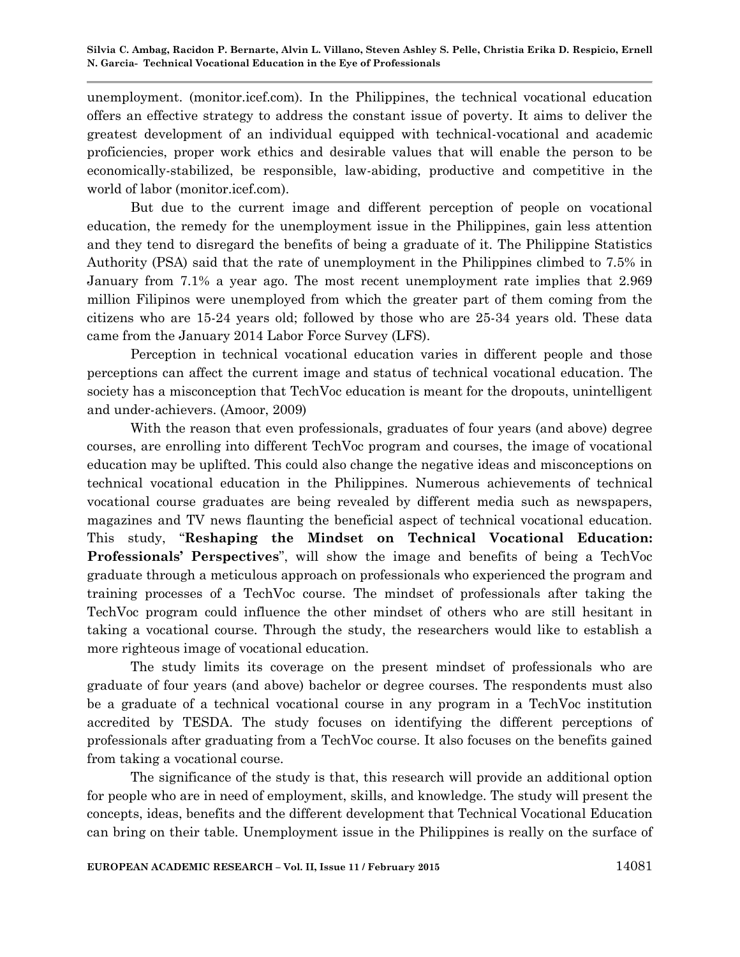unemployment. (monitor.icef.com). In the Philippines, the technical vocational education offers an effective strategy to address the constant issue of poverty. It aims to deliver the greatest development of an individual equipped with technical-vocational and academic proficiencies, proper work ethics and desirable values that will enable the person to be economically-stabilized, be responsible, law-abiding, productive and competitive in the world of labor (monitor.icef.com).

But due to the current image and different perception of people on vocational education, the remedy for the unemployment issue in the Philippines, gain less attention and they tend to disregard the benefits of being a graduate of it. The Philippine Statistics Authority (PSA) said that the rate of unemployment in the Philippines climbed to 7.5% in January from 7.1% a year ago. The most recent unemployment rate implies that 2.969 million Filipinos were unemployed from which the greater part of them coming from the citizens who are 15-24 years old; followed by those who are 25-34 years old. These data came from the January 2014 Labor Force Survey (LFS).

Perception in technical vocational education varies in different people and those perceptions can affect the current image and status of technical vocational education. The society has a misconception that TechVoc education is meant for the dropouts, unintelligent and under-achievers. (Amoor, 2009)

With the reason that even professionals, graduates of four years (and above) degree courses, are enrolling into different TechVoc program and courses, the image of vocational education may be uplifted. This could also change the negative ideas and misconceptions on technical vocational education in the Philippines. Numerous achievements of technical vocational course graduates are being revealed by different media such as newspapers, magazines and TV news flaunting the beneficial aspect of technical vocational education. This study, "**Reshaping the Mindset on Technical Vocational Education: Professionals' Perspectives**", will show the image and benefits of being a TechVoc graduate through a meticulous approach on professionals who experienced the program and training processes of a TechVoc course. The mindset of professionals after taking the TechVoc program could influence the other mindset of others who are still hesitant in taking a vocational course. Through the study, the researchers would like to establish a more righteous image of vocational education.

The study limits its coverage on the present mindset of professionals who are graduate of four years (and above) bachelor or degree courses. The respondents must also be a graduate of a technical vocational course in any program in a TechVoc institution accredited by TESDA. The study focuses on identifying the different perceptions of professionals after graduating from a TechVoc course. It also focuses on the benefits gained from taking a vocational course.

The significance of the study is that, this research will provide an additional option for people who are in need of employment, skills, and knowledge. The study will present the concepts, ideas, benefits and the different development that Technical Vocational Education can bring on their table. Unemployment issue in the Philippines is really on the surface of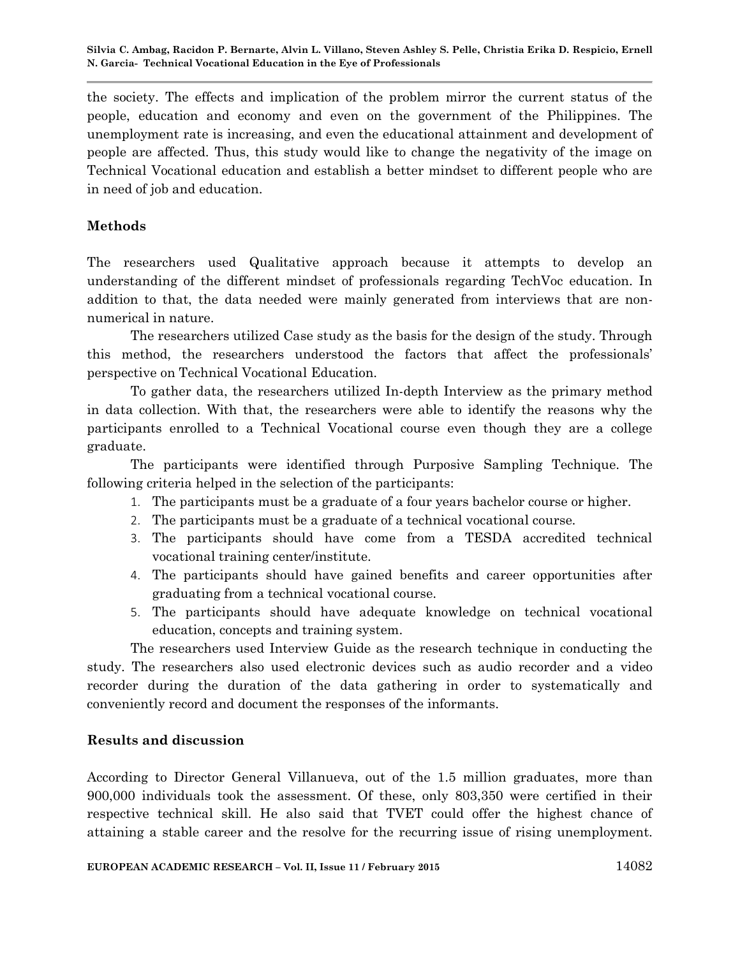the society. The effects and implication of the problem mirror the current status of the people, education and economy and even on the government of the Philippines. The unemployment rate is increasing, and even the educational attainment and development of people are affected. Thus, this study would like to change the negativity of the image on Technical Vocational education and establish a better mindset to different people who are in need of job and education.

### **Methods**

The researchers used Qualitative approach because it attempts to develop an understanding of the different mindset of professionals regarding TechVoc education. In addition to that, the data needed were mainly generated from interviews that are nonnumerical in nature.

The researchers utilized Case study as the basis for the design of the study. Through this method, the researchers understood the factors that affect the professionals" perspective on Technical Vocational Education.

To gather data, the researchers utilized In-depth Interview as the primary method in data collection. With that, the researchers were able to identify the reasons why the participants enrolled to a Technical Vocational course even though they are a college graduate.

The participants were identified through Purposive Sampling Technique. The following criteria helped in the selection of the participants:

- 1. The participants must be a graduate of a four years bachelor course or higher.
- 2. The participants must be a graduate of a technical vocational course.
- 3. The participants should have come from a TESDA accredited technical vocational training center/institute.
- 4. The participants should have gained benefits and career opportunities after graduating from a technical vocational course.
- 5. The participants should have adequate knowledge on technical vocational education, concepts and training system.

The researchers used Interview Guide as the research technique in conducting the study. The researchers also used electronic devices such as audio recorder and a video recorder during the duration of the data gathering in order to systematically and conveniently record and document the responses of the informants.

#### **Results and discussion**

According to Director General Villanueva, out of the 1.5 million graduates, more than 900,000 individuals took the assessment. Of these, only 803,350 were certified in their respective technical skill. He also said that TVET could offer the highest chance of attaining a stable career and the resolve for the recurring issue of rising unemployment.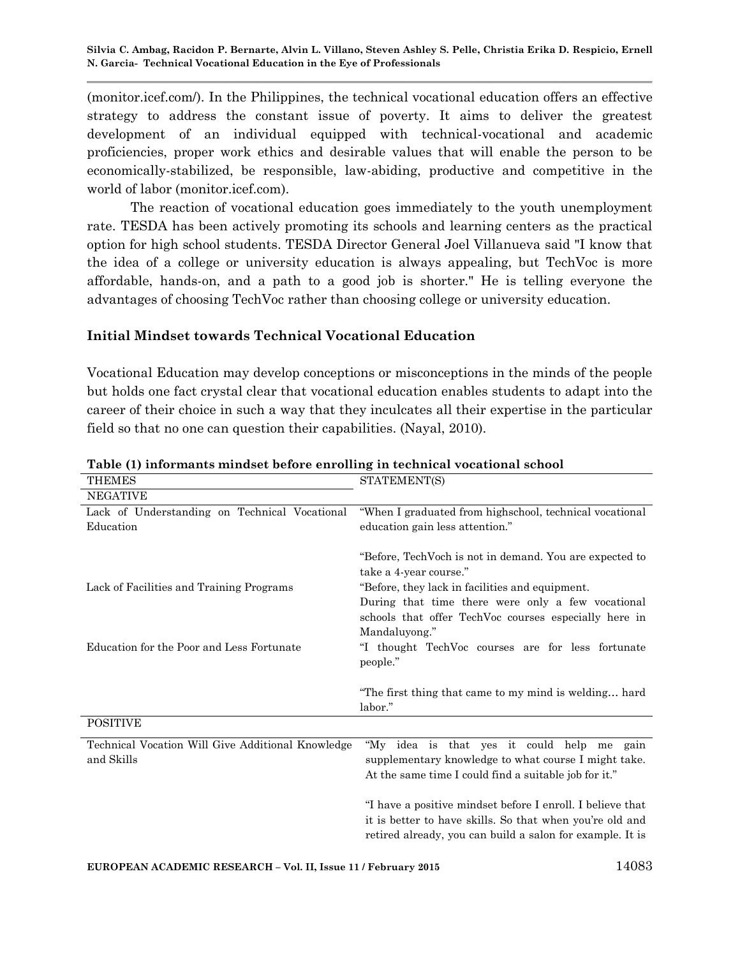(monitor.icef.com/). In the Philippines, the technical vocational education offers an effective strategy to address the constant issue of poverty. It aims to deliver the greatest development of an individual equipped with technical-vocational and academic proficiencies, proper work ethics and desirable values that will enable the person to be economically-stabilized, be responsible, law-abiding, productive and competitive in the world of labor (monitor.icef.com).

The reaction of vocational education goes immediately to the youth unemployment rate. TESDA has been actively promoting its schools and learning centers as the practical option for high school students. TESDA Director General Joel Villanueva said "I know that the idea of a college or university education is always appealing, but TechVoc is more affordable, hands-on, and a path to a good job is shorter." He is telling everyone the advantages of choosing TechVoc rather than choosing college or university education.

#### **Initial Mindset towards Technical Vocational Education**

Vocational Education may develop conceptions or misconceptions in the minds of the people but holds one fact crystal clear that vocational education enables students to adapt into the career of their choice in such a way that they inculcates all their expertise in the particular field so that no one can question their capabilities. (Nayal, 2010).

| <b>THEMES</b>                                     | STATEMENT(S)                                               |
|---------------------------------------------------|------------------------------------------------------------|
| <b>NEGATIVE</b>                                   |                                                            |
| Lack of Understanding on Technical Vocational     | "When I graduated from highschool, technical vocational    |
| Education                                         | education gain less attention."                            |
|                                                   |                                                            |
|                                                   | "Before, TechVoch is not in demand. You are expected to    |
|                                                   | take a 4-year course."                                     |
| Lack of Facilities and Training Programs          | "Before, they lack in facilities and equipment.            |
|                                                   | During that time there were only a few vocational          |
|                                                   | schools that offer TechVoc courses especially here in      |
|                                                   | Mandaluyong."                                              |
| Education for the Poor and Less Fortunate         | "I thought TechVoc courses are for less fortunate          |
|                                                   | people."                                                   |
|                                                   |                                                            |
|                                                   | "The first thing that came to my mind is welding hard      |
|                                                   | labor."                                                    |
| <b>POSITIVE</b>                                   |                                                            |
| Technical Vocation Will Give Additional Knowledge | "My idea is that yes it could help me gain                 |
| and Skills                                        | supplementary knowledge to what course I might take.       |
|                                                   | At the same time I could find a suitable job for it."      |
|                                                   |                                                            |
|                                                   | "I have a positive mindset before I enroll. I believe that |
|                                                   | it is better to have skills. So that when you're old and   |
|                                                   | retired already, you can build a salon for example. It is  |

**Table (1) informants mindset before enrolling in technical vocational school**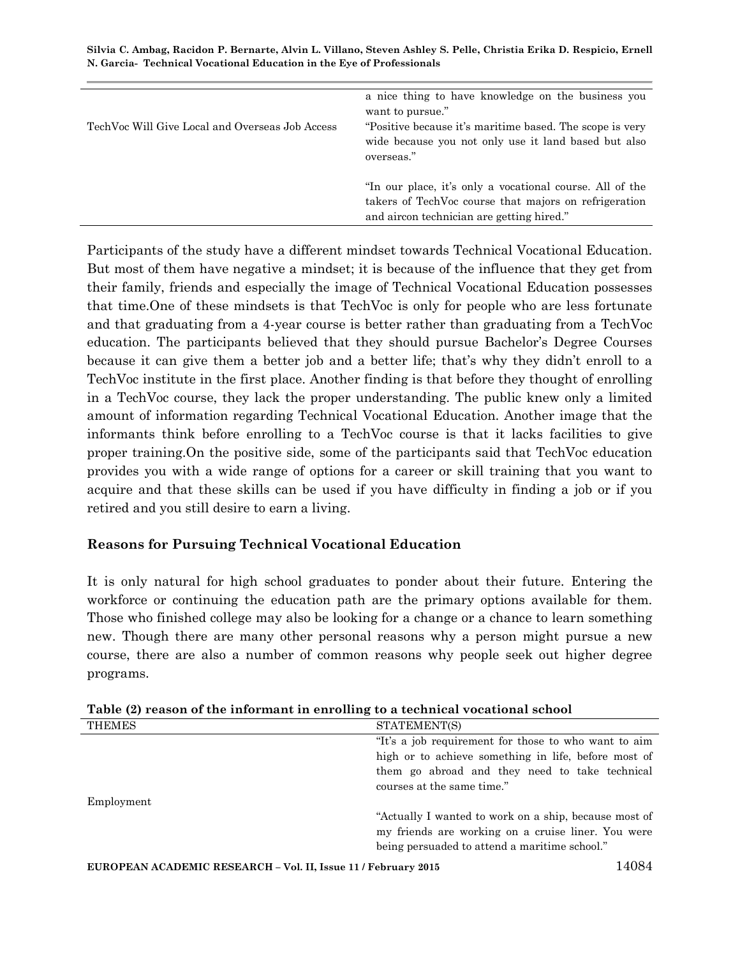| TechVoc Will Give Local and Overseas Job Access | a nice thing to have knowledge on the business you<br>want to pursue."<br>"Positive because it's maritime based. The scope is very<br>wide because you not only use it land based but also<br>overseas." |
|-------------------------------------------------|----------------------------------------------------------------------------------------------------------------------------------------------------------------------------------------------------------|
|                                                 | "In our place, it's only a vocational course. All of the<br>takers of TechVoc course that majors on refrigeration<br>and aircon technician are getting hired."                                           |

Participants of the study have a different mindset towards Technical Vocational Education. But most of them have negative a mindset; it is because of the influence that they get from their family, friends and especially the image of Technical Vocational Education possesses that time.One of these mindsets is that TechVoc is only for people who are less fortunate and that graduating from a 4-year course is better rather than graduating from a TechVoc education. The participants believed that they should pursue Bachelor"s Degree Courses because it can give them a better job and a better life; that's why they didn't enroll to a TechVoc institute in the first place. Another finding is that before they thought of enrolling in a TechVoc course, they lack the proper understanding. The public knew only a limited amount of information regarding Technical Vocational Education. Another image that the informants think before enrolling to a TechVoc course is that it lacks facilities to give proper training.On the positive side, some of the participants said that TechVoc education provides you with a wide range of options for a career or skill training that you want to acquire and that these skills can be used if you have difficulty in finding a job or if you retired and you still desire to earn a living.

#### **Reasons for Pursuing Technical Vocational Education**

It is only natural for high school graduates to ponder about their future. Entering the workforce or continuing the education path are the primary options available for them. Those who finished college may also be looking for a change or a chance to learn something new. Though there are many other personal reasons why a person might pursue a new course, there are also a number of common reasons why people seek out higher degree programs.

| Table (2) Feason of the hilorinant in embling to a technical vocational school |                                                                                                             |
|--------------------------------------------------------------------------------|-------------------------------------------------------------------------------------------------------------|
| THEMES                                                                         | STATEMENT(S)                                                                                                |
|                                                                                | "It's a job requirement for those to who want to aim                                                        |
|                                                                                | high or to achieve something in life, before most of                                                        |
|                                                                                | them go abroad and they need to take technical                                                              |
|                                                                                | courses at the same time."                                                                                  |
| Employment                                                                     |                                                                                                             |
|                                                                                | "Actually I wanted to work on a ship, because most of<br>my friends are working on a cruise liner. You were |
|                                                                                | being persuaded to attend a maritime school."                                                               |
|                                                                                |                                                                                                             |

**Table (2) reason of the informant in enrolling to a technical vocational school**

**EUROPEAN ACADEMIC RESEARCH – Vol. II, Issue 11 / February 2015** 14084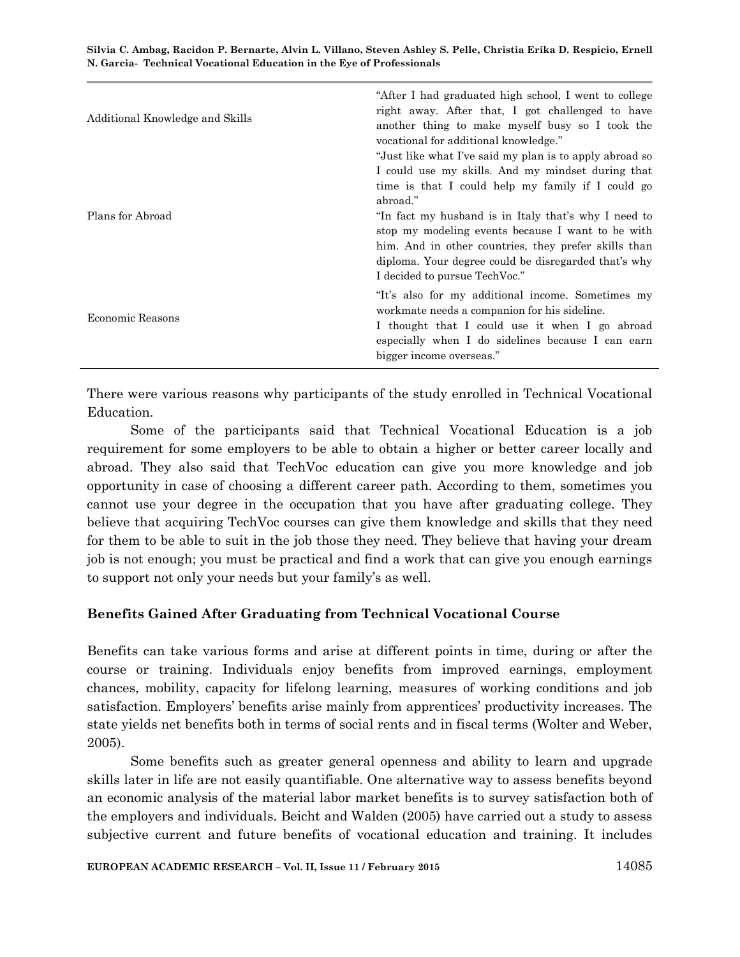| Additional Knowledge and Skills | "After I had graduated high school, I went to college<br>right away. After that, I got challenged to have<br>another thing to make myself busy so I took the<br>vocational for additional knowledge."<br>"Just like what I've said my plan is to apply abroad so<br>I could use my skills. And my mindset during that<br>time is that I could help my family if I could go |
|---------------------------------|----------------------------------------------------------------------------------------------------------------------------------------------------------------------------------------------------------------------------------------------------------------------------------------------------------------------------------------------------------------------------|
| Plans for Abroad                | abroad."<br>"In fact my husband is in Italy that's why I need to<br>stop my modeling events because I want to be with<br>him. And in other countries, they prefer skills than<br>diploma. Your degree could be disregarded that's why<br>I decided to pursue TechVoc."                                                                                                     |
| Economic Reasons                | "It's also for my additional income. Sometimes my<br>workmate needs a companion for his sideline.<br>I thought that I could use it when I go abroad<br>especially when I do sidelines because I can earn<br>bigger income overseas."                                                                                                                                       |

There were various reasons why participants of the study enrolled in Technical Vocational Education.

Some of the participants said that Technical Vocational Education is a job requirement for some employers to be able to obtain a higher or better career locally and abroad. They also said that TechVoc education can give you more knowledge and job opportunity in case of choosing a different career path. According to them, sometimes you cannot use your degree in the occupation that you have after graduating college. They believe that acquiring TechVoc courses can give them knowledge and skills that they need for them to be able to suit in the job those they need. They believe that having your dream job is not enough; you must be practical and find a work that can give you enough earnings to support not only your needs but your family's as well.

# **Benefits Gained After Graduating from Technical Vocational Course**

Benefits can take various forms and arise at different points in time, during or after the course or training. Individuals enjoy benefits from improved earnings, employment chances, mobility, capacity for lifelong learning, measures of working conditions and job satisfaction. Employers" benefits arise mainly from apprentices" productivity increases. The state yields net benefits both in terms of social rents and in fiscal terms (Wolter and Weber, 2005).

Some benefits such as greater general openness and ability to learn and upgrade skills later in life are not easily quantifiable. One alternative way to assess benefits beyond an economic analysis of the material labor market benefits is to survey satisfaction both of the employers and individuals. Beicht and Walden (2005) have carried out a study to assess subjective current and future benefits of vocational education and training. It includes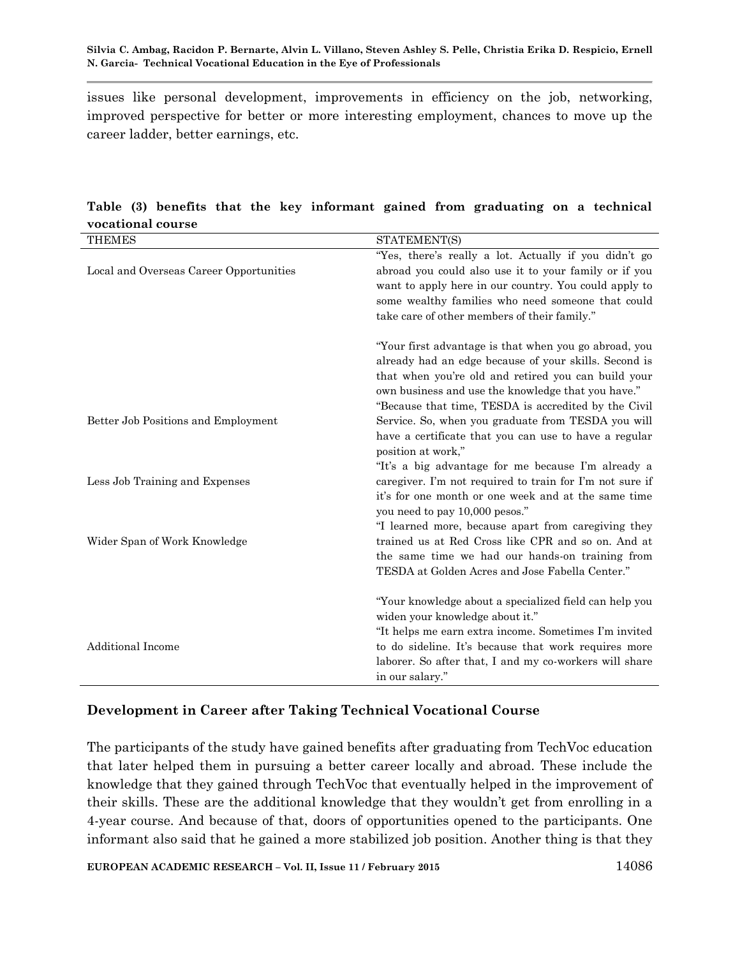issues like personal development, improvements in efficiency on the job, networking, improved perspective for better or more interesting employment, chances to move up the career ladder, better earnings, etc.

| vucational course                       |                                                                                                                                                                                                                                                                                         |
|-----------------------------------------|-----------------------------------------------------------------------------------------------------------------------------------------------------------------------------------------------------------------------------------------------------------------------------------------|
| <b>THEMES</b>                           | STATEMENT(S)                                                                                                                                                                                                                                                                            |
| Local and Overseas Career Opportunities | "Yes, there's really a lot. Actually if you didn't go<br>abroad you could also use it to your family or if you<br>want to apply here in our country. You could apply to<br>some wealthy families who need someone that could<br>take care of other members of their family."            |
|                                         | "Your first advantage is that when you go abroad, you<br>already had an edge because of your skills. Second is<br>that when you're old and retired you can build your<br>own business and use the knowledge that you have."<br>"Because that time, TESDA is accredited by the Civil"    |
| Better Job Positions and Employment     | Service. So, when you graduate from TESDA you will<br>have a certificate that you can use to have a regular<br>position at work,"<br>"It's a big advantage for me because I'm already a                                                                                                 |
| Less Job Training and Expenses          | caregiver. I'm not required to train for I'm not sure if<br>it's for one month or one week and at the same time<br>you need to pay 10,000 pesos."<br>"I learned more, because apart from caregiving they                                                                                |
| Wider Span of Work Knowledge            | trained us at Red Cross like CPR and so on. And at<br>the same time we had our hands-on training from<br>TESDA at Golden Acres and Jose Fabella Center."                                                                                                                                |
| <b>Additional Income</b>                | "Your knowledge about a specialized field can help you<br>widen your knowledge about it."<br>"It helps me earn extra income. Sometimes I'm invited<br>to do sideline. It's because that work requires more<br>laborer. So after that, I and my co-workers will share<br>in our salary." |

**Table (3) benefits that the key informant gained from graduating on a technical vocational course**

# **Development in Career after Taking Technical Vocational Course**

The participants of the study have gained benefits after graduating from TechVoc education that later helped them in pursuing a better career locally and abroad. These include the knowledge that they gained through TechVoc that eventually helped in the improvement of their skills. These are the additional knowledge that they wouldn"t get from enrolling in a 4-year course. And because of that, doors of opportunities opened to the participants. One informant also said that he gained a more stabilized job position. Another thing is that they

**EUROPEAN ACADEMIC RESEARCH – Vol. II, Issue 11 / February 2015** 14086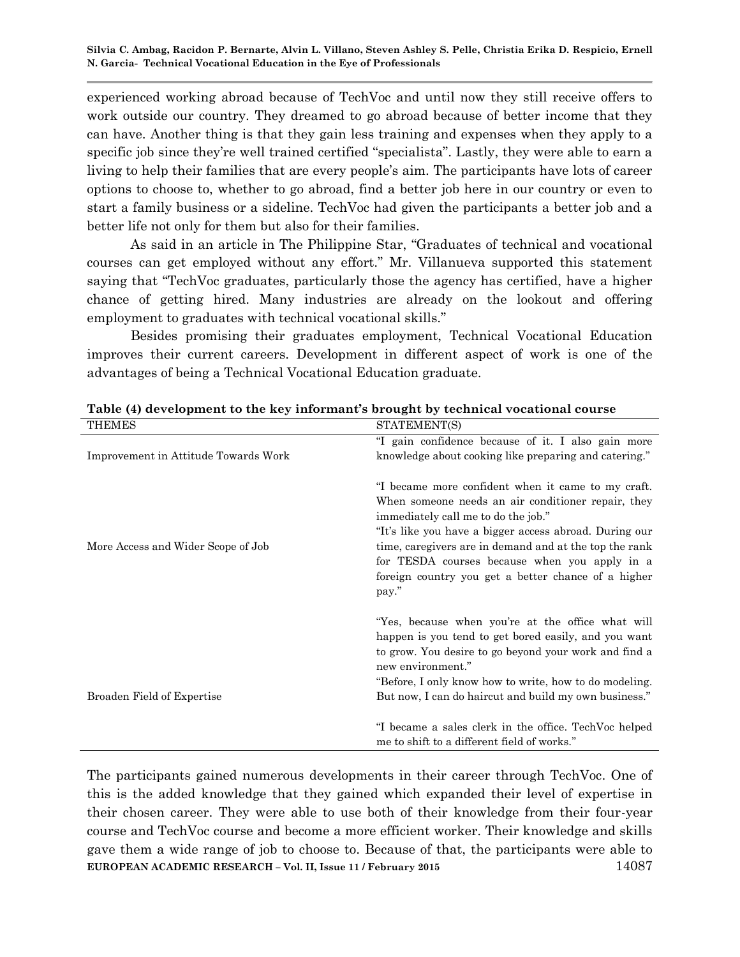experienced working abroad because of TechVoc and until now they still receive offers to work outside our country. They dreamed to go abroad because of better income that they can have. Another thing is that they gain less training and expenses when they apply to a specific job since they"re well trained certified "specialista". Lastly, they were able to earn a living to help their families that are every people's aim. The participants have lots of career options to choose to, whether to go abroad, find a better job here in our country or even to start a family business or a sideline. TechVoc had given the participants a better job and a better life not only for them but also for their families.

As said in an article in The Philippine Star, "Graduates of technical and vocational courses can get employed without any effort." Mr. Villanueva supported this statement saying that "TechVoc graduates, particularly those the agency has certified, have a higher chance of getting hired. Many industries are already on the lookout and offering employment to graduates with technical vocational skills."

Besides promising their graduates employment, Technical Vocational Education improves their current careers. Development in different aspect of work is one of the advantages of being a Technical Vocational Education graduate.

| <b>THEMES</b>                        | STATEMENT(S)                                           |
|--------------------------------------|--------------------------------------------------------|
|                                      | "I gain confidence because of it. I also gain more     |
| Improvement in Attitude Towards Work | knowledge about cooking like preparing and catering."  |
|                                      |                                                        |
|                                      | "I became more confident when it came to my craft.     |
|                                      | When someone needs an air conditioner repair, they     |
|                                      | immediately call me to do the job."                    |
|                                      | "It's like you have a bigger access abroad. During our |
| More Access and Wider Scope of Job   | time, caregivers are in demand and at the top the rank |
|                                      | for TESDA courses because when you apply in a          |
|                                      | foreign country you get a better chance of a higher    |
|                                      | pay."                                                  |
|                                      | "Yes, because when you're at the office what will      |
|                                      | happen is you tend to get bored easily, and you want   |
|                                      | to grow. You desire to go beyond your work and find a  |
|                                      | new environment."                                      |
|                                      | "Before, I only know how to write, how to do modeling. |
| Broaden Field of Expertise           | But now, I can do haircut and build my own business."  |
|                                      |                                                        |
|                                      | "I became a sales clerk in the office. TechVoc helped  |
|                                      | me to shift to a different field of works."            |
|                                      |                                                        |

#### **Table (4) development to the key informant's brought by technical vocational course**

**EUROPEAN ACADEMIC RESEARCH – Vol. II, Issue 11 / February 2015** 14087 The participants gained numerous developments in their career through TechVoc. One of this is the added knowledge that they gained which expanded their level of expertise in their chosen career. They were able to use both of their knowledge from their four-year course and TechVoc course and become a more efficient worker. Their knowledge and skills gave them a wide range of job to choose to. Because of that, the participants were able to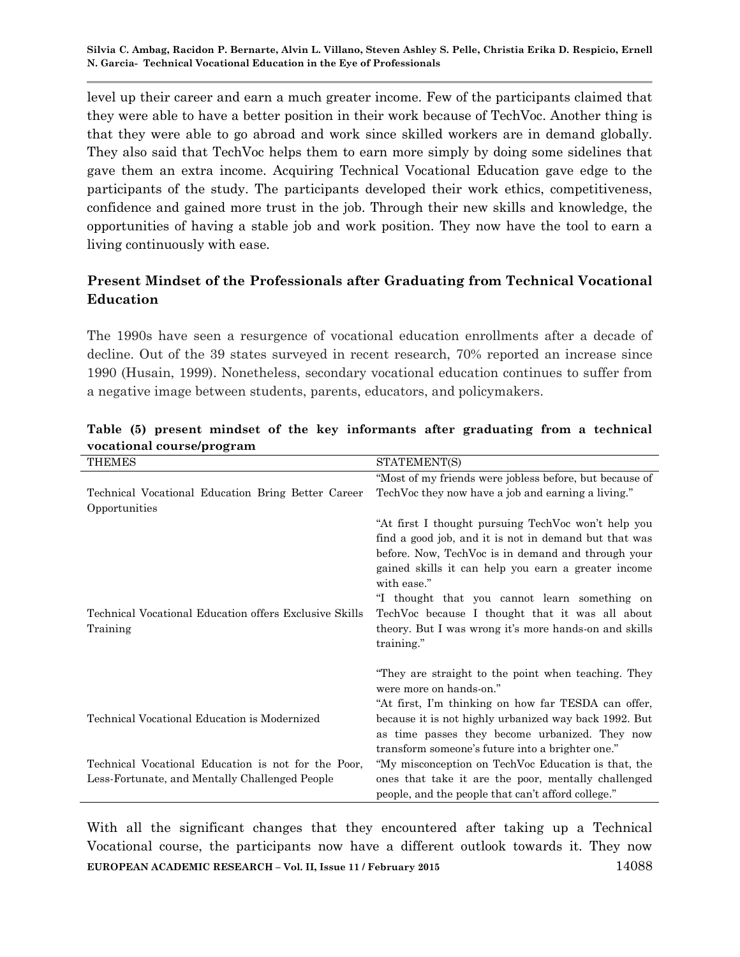level up their career and earn a much greater income. Few of the participants claimed that they were able to have a better position in their work because of TechVoc. Another thing is that they were able to go abroad and work since skilled workers are in demand globally. They also said that TechVoc helps them to earn more simply by doing some sidelines that gave them an extra income. Acquiring Technical Vocational Education gave edge to the participants of the study. The participants developed their work ethics, competitiveness, confidence and gained more trust in the job. Through their new skills and knowledge, the opportunities of having a stable job and work position. They now have the tool to earn a living continuously with ease.

# **Present Mindset of the Professionals after Graduating from Technical Vocational Education**

The 1990s have seen a resurgence of vocational education enrollments after a decade of decline. Out of the 39 states surveyed in recent research, 70% reported an increase since 1990 (Husain, 1999). Nonetheless, secondary vocational education continues to suffer from a negative image between students, parents, educators, and policymakers.

| <b>THEMES</b>                                          | STATEMENT(S)                                            |
|--------------------------------------------------------|---------------------------------------------------------|
|                                                        | "Most of my friends were jobless before, but because of |
| Technical Vocational Education Bring Better Career     | TechVoc they now have a job and earning a living."      |
| Opportunities                                          |                                                         |
|                                                        | "At first I thought pursuing TechVoc won't help you     |
|                                                        | find a good job, and it is not in demand but that was   |
|                                                        | before. Now, TechVoc is in demand and through your      |
|                                                        | gained skills it can help you earn a greater income     |
|                                                        | with ease."                                             |
|                                                        | "I thought that you cannot learn something on           |
| Technical Vocational Education offers Exclusive Skills | TechVoc because I thought that it was all about         |
| Training                                               | theory. But I was wrong it's more hands-on and skills   |
|                                                        | training."                                              |
|                                                        |                                                         |
|                                                        | "They are straight to the point when teaching. They     |
|                                                        | were more on hands-on."                                 |
|                                                        | "At first, I'm thinking on how far TESDA can offer,     |
| Technical Vocational Education is Modernized           | because it is not highly urbanized way back 1992. But   |
|                                                        | as time passes they become urbanized. They now          |
|                                                        | transform someone's future into a brighter one."        |
| Technical Vocational Education is not for the Poor,    | "My misconception on TechVoc Education is that, the     |
| Less-Fortunate, and Mentally Challenged People         | ones that take it are the poor, mentally challenged     |
|                                                        | people, and the people that can't afford college."      |

### **Table (5) present mindset of the key informants after graduating from a technical vocational course/program**

**EUROPEAN ACADEMIC RESEARCH – Vol. II, Issue 11 / February 2015** 14088 With all the significant changes that they encountered after taking up a Technical Vocational course, the participants now have a different outlook towards it. They now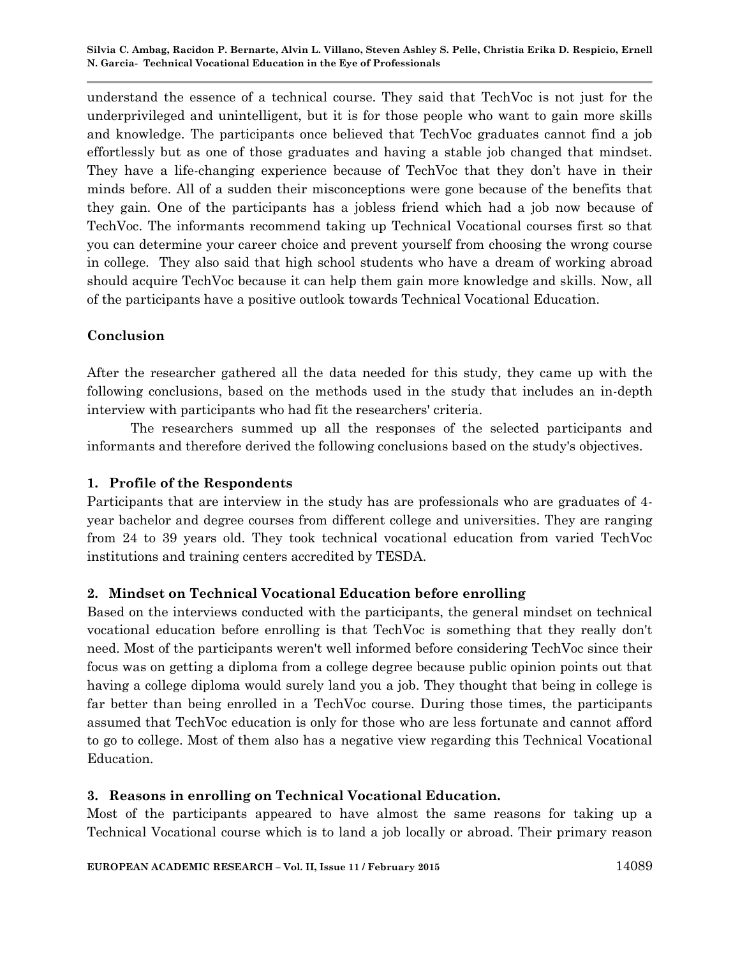understand the essence of a technical course. They said that TechVoc is not just for the underprivileged and unintelligent, but it is for those people who want to gain more skills and knowledge. The participants once believed that TechVoc graduates cannot find a job effortlessly but as one of those graduates and having a stable job changed that mindset. They have a life-changing experience because of TechVoc that they don't have in their minds before. All of a sudden their misconceptions were gone because of the benefits that they gain. One of the participants has a jobless friend which had a job now because of TechVoc. The informants recommend taking up Technical Vocational courses first so that you can determine your career choice and prevent yourself from choosing the wrong course in college. They also said that high school students who have a dream of working abroad should acquire TechVoc because it can help them gain more knowledge and skills. Now, all of the participants have a positive outlook towards Technical Vocational Education.

### **Conclusion**

After the researcher gathered all the data needed for this study, they came up with the following conclusions, based on the methods used in the study that includes an in-depth interview with participants who had fit the researchers' criteria.

The researchers summed up all the responses of the selected participants and informants and therefore derived the following conclusions based on the study's objectives.

### **1. Profile of the Respondents**

Participants that are interview in the study has are professionals who are graduates of 4 year bachelor and degree courses from different college and universities. They are ranging from 24 to 39 years old. They took technical vocational education from varied TechVoc institutions and training centers accredited by TESDA.

#### **2. Mindset on Technical Vocational Education before enrolling**

Based on the interviews conducted with the participants, the general mindset on technical vocational education before enrolling is that TechVoc is something that they really don't need. Most of the participants weren't well informed before considering TechVoc since their focus was on getting a diploma from a college degree because public opinion points out that having a college diploma would surely land you a job. They thought that being in college is far better than being enrolled in a TechVoc course. During those times, the participants assumed that TechVoc education is only for those who are less fortunate and cannot afford to go to college. Most of them also has a negative view regarding this Technical Vocational Education.

#### **3. Reasons in enrolling on Technical Vocational Education.**

Most of the participants appeared to have almost the same reasons for taking up a Technical Vocational course which is to land a job locally or abroad. Their primary reason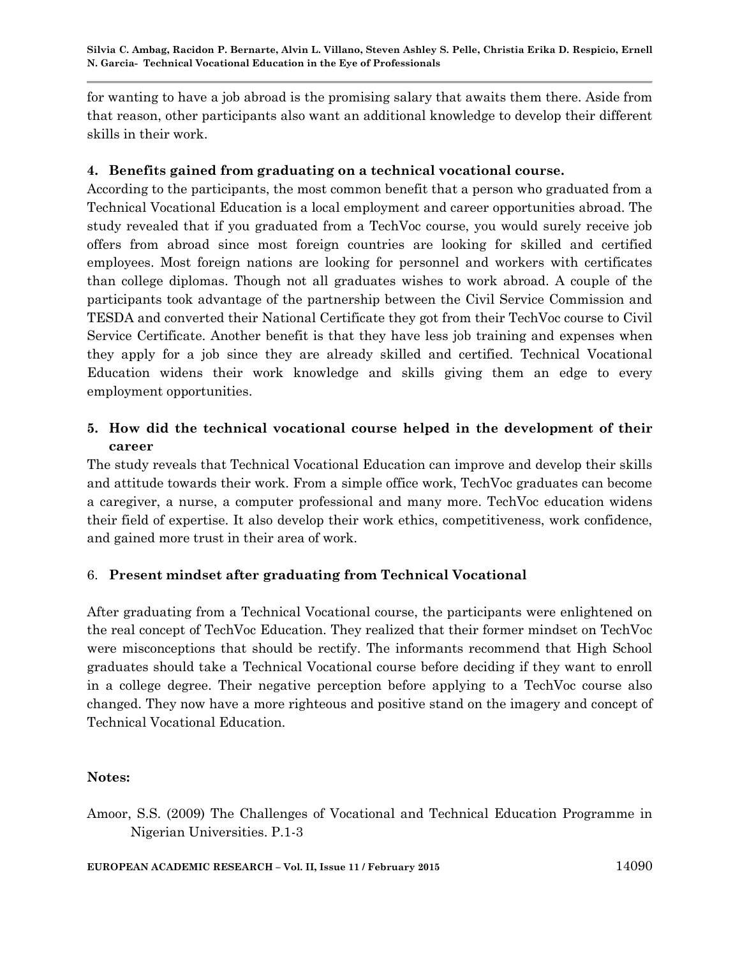for wanting to have a job abroad is the promising salary that awaits them there. Aside from that reason, other participants also want an additional knowledge to develop their different skills in their work.

### **4. Benefits gained from graduating on a technical vocational course.**

According to the participants, the most common benefit that a person who graduated from a Technical Vocational Education is a local employment and career opportunities abroad. The study revealed that if you graduated from a TechVoc course, you would surely receive job offers from abroad since most foreign countries are looking for skilled and certified employees. Most foreign nations are looking for personnel and workers with certificates than college diplomas. Though not all graduates wishes to work abroad. A couple of the participants took advantage of the partnership between the Civil Service Commission and TESDA and converted their National Certificate they got from their TechVoc course to Civil Service Certificate. Another benefit is that they have less job training and expenses when they apply for a job since they are already skilled and certified. Technical Vocational Education widens their work knowledge and skills giving them an edge to every employment opportunities.

# **5. How did the technical vocational course helped in the development of their career**

The study reveals that Technical Vocational Education can improve and develop their skills and attitude towards their work. From a simple office work, TechVoc graduates can become a caregiver, a nurse, a computer professional and many more. TechVoc education widens their field of expertise. It also develop their work ethics, competitiveness, work confidence, and gained more trust in their area of work.

# 6. **Present mindset after graduating from Technical Vocational**

After graduating from a Technical Vocational course, the participants were enlightened on the real concept of TechVoc Education. They realized that their former mindset on TechVoc were misconceptions that should be rectify. The informants recommend that High School graduates should take a Technical Vocational course before deciding if they want to enroll in a college degree. Their negative perception before applying to a TechVoc course also changed. They now have a more righteous and positive stand on the imagery and concept of Technical Vocational Education.

#### **Notes:**

Amoor, S.S. (2009) The Challenges of Vocational and Technical Education Programme in Nigerian Universities. P.1-3